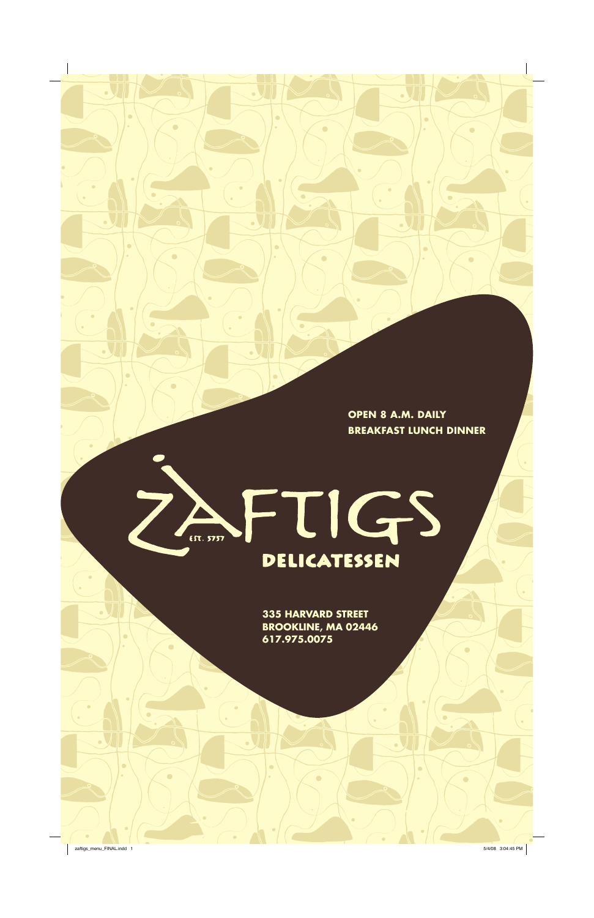**335 HARVARD STREET BROOKLINE, MA 02446 617.975.0075**

**OPEN 8 A.M. DAILY BREAKFAST LUNCH DINNER**

### FTIGS **72** EST. 5757 DELICATESSEN

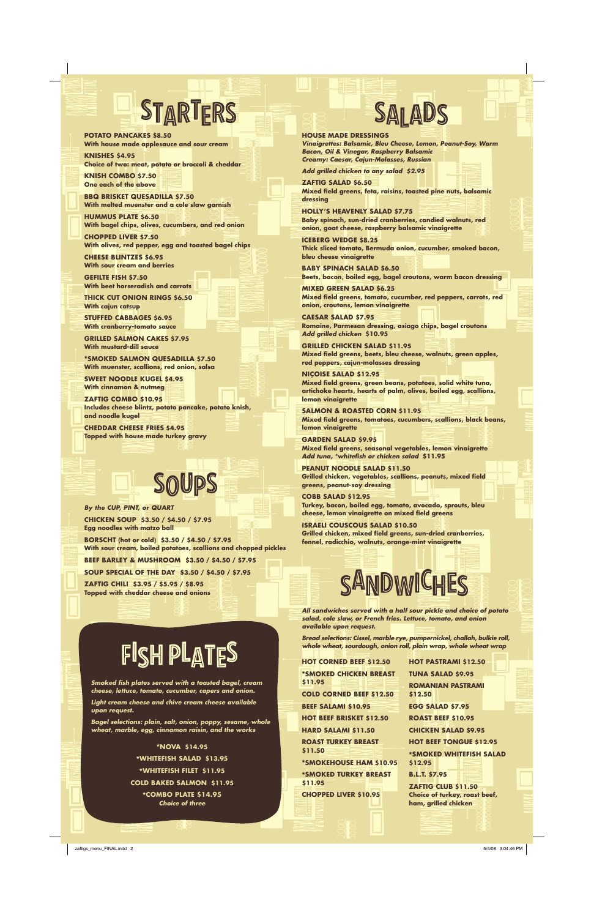### **House made Dressings**

*Vinaigrettes: Balsamic, Bleu Cheese, Lemon, Peanut-Soy, Warm Bacon, Oil & Vinegar, Raspberry Balsamic Creamy: Caesar, Cajun-Molasses, Russian*

*Add grilled chicken to any salad \$2.95*

**Zaftig Salad \$6.50 Mixed field greens, feta, raisins, toasted pine nuts, balsamic dressing**

**Holly's Heavenly Salad \$7.75**

**Baby spinach, sun-dried cranberries, candied walnuts, red onion, goat cheese, raspberry balsamic vinaigrette**

**Iceberg Wedge \$8.25 Thick sliced tomato, Bermuda onion, cucumber, smoked bacon, bleu cheese vinaigrette**

**Baby Spinach Salad \$6.50 Beets, bacon, boiled egg, bagel croutons, warm bacon dressing**

**Mixed Green Salad \$6.25 Mixed field greens, tomato, cucumber, red peppers, carrots, red onion, croutons, lemon vinaigrette**

**Caesar Salad \$7.95 Romaine, Parmesan dressing, asiago chips, bagel croutons** *Add grilled chicken* **\$10.95**

**Grilled Chicken Salad \$11.95 Mixed field greens, beets, bleu cheese, walnuts, green apples, red peppers, cajun-molasses dressing**

**Niçoise Salad \$12.95 Mixed field greens, green beans, potatoes, solid white tuna, artichoke hearts, hearts of palm, olives, boiled egg, scallions, lemon vinaigrette**

**Salmon & Roasted Corn \$11.95 Mixed field greens, tomatoes, cucumbers, scallions, black beans, lemon vinaigrette**

**Garden Salad \$9.95 Mixed field greens, seasonal vegetables, lemon vinaigrette** *Add tuna, \*whitefish or chicken salad* **\$11.95**

**peanut Noodle Salad \$11.50 Grilled chicken, vegetables, scallions, peanuts, mixed field greens, peanut-soy dressing**

**Cobb Salad \$12.95 Turkey, bacon, boiled egg, tomato, avocado, sprouts, bleu cheese, lemon vinaigrette on mixed field greens**

**Israeli Couscous Salad \$10.50 Grilled chicken, mixed field greens, sun-dried cranberries, fennel, radicchio, walnuts, orange-mint vinaigrette**

*By the Cup, Pint, or Quart* **Chicken Soup \$3.50 / \$4.50 / \$7.95 Egg noodles with matzo ball Borscht (hot or cold) \$3.50 / \$4.50 / \$7.95 With sour cream, boiled potatoes, scallions and chopped pickles Beef Barley & Mushroom \$3.50 / \$4.50 / \$7.95**

**Soup Special of the Day \$3.50 / \$4.50 / \$7.95**

**Zaftig Chili \$3.95 / \$5.95 / \$8.95 Topped with cheddar cheese and onions**

# SOUPS

*Smoked fish plates served with a toasted bagel, cream cheese, lettuce, tomato, cucumber, capers and onion.* 

FISH PLATES

*Light cream cheese and chive cream cheese available upon request.* 

*Bagel selections: plain, salt, onion, poppy, sesame, whole wheat, marble, egg, cinnamon raisin, and the works*

### \***Nova \$14.95** \***Whitefish Salad \$13.95** \***Whitefish Filet \$11.95 Cold Baked Salmon \$11.95** \***Combo Plate \$14.95** *Choice of three*

*All sandwiches served with a half sour pickle and choice of potato salad, cole slaw, or French fries. Lettuce, tomato, and onion available upon request.* 

*Bread selections: Cissel, marble rye, pumpernickel, challah, bulkie roll, whole wheat, sourdough, onion roll, plain wrap, whole wheat wrap*

**Hot Corned Beef \$12.50** \***Smoked Chicken Breast Tuna Salad \$9.95**

**\$11.95 Cold Corned Beef \$12.50 Beef Salami \$10.95 Hot Beef Brisket \$12.50 Hard Salami \$11.50 Roast Turkey Breast \$11.50**  \***Smokehouse Ham \$10.95** \***Smoked Turkey Breast \$11.95 Chopped Liver \$10.95**

**Hot Pastrami \$12.50** 

**Romanian Pastrami \$12.50 Egg Salad \$7.95 Roast Beef \$10.95 Chicken Salad \$9.95 Hot Beef Tongue \$12.95**  \***Smoked Whitefish Salad \$12.95 B.L.T. \$7.95 Zaftig Club \$11.50 Choice of turkey, roast beef, ham, grilled chicken**



# STARTERS SALADS

**Potato Pancakes \$8.50 With house made applesauce and sour cream**

**Knishes \$4.95 Choice of two: meat, potato or broccoli & cheddar**

**Knish Combo \$7.50 One each of the above**

**BBQ Brisket Quesadilla \$7.50 With melted muenster and a cole slaw garnish**

**Hummus Plate \$6.50 With bagel chips, olives, cucumbers, and red onion**

**Chopped Liver \$7.50 With olives, red pepper, egg and toasted bagel chips**

**Cheese Blintzes \$6.95 With sour cream and berries**

**Gefilte Fish \$7.50 With beet horseradish and carrots**

**Thick Cut Onion Rings \$6.50 With cajun catsup**

**Stuffed Cabbages \$6.95 With cranberry-tomato sauce**

**Grilled Salmon Cakes \$7.95 With mustard-dill sauce**

\***Smoked Salmon Quesadilla \$7.50 With muenster, scallions, red onion, salsa**

**sweet Noodle Kugel \$4.95 With cinnamon & nutmeg**

**Zaftig Combo \$10.95 Includes cheese blintz, potato pancake, potato knish, and noodle kugel**

**Cheddar Cheese Fries \$4.95 Topped with house made turkey gravy**

zaftigs\_menu\_FINAL.indd 2 5/4/08 3:04:46 PM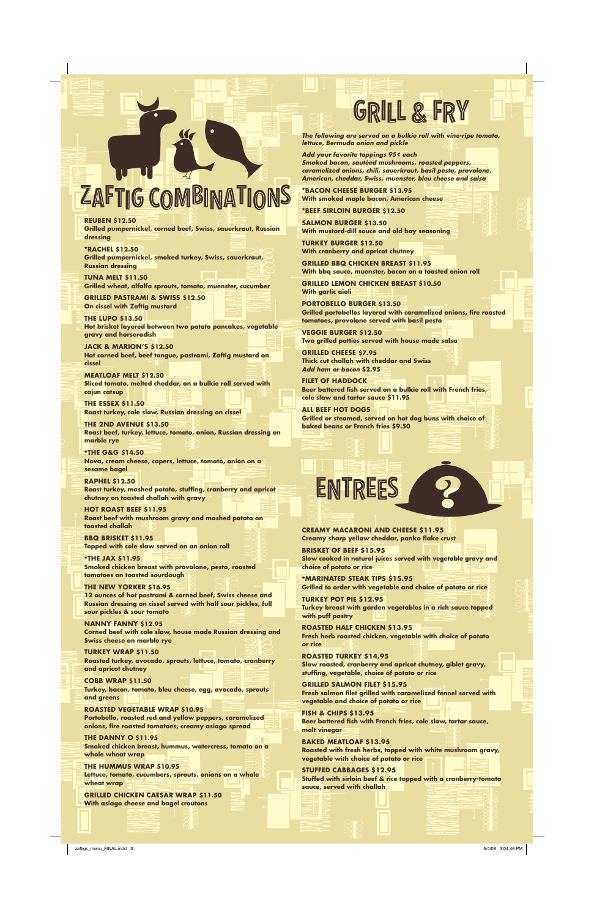## ZAFTIG COMBINATIONS

**Reuben \$12.50**

**Grilled pumpernickel, corned beef, Swiss, sauerkraut, Russian dressing**

\***Rachel \$12.50 Grilled pumpernickel, smoked turkey, Swiss, sauerkraut, Russian dressing**

**Tuna Melt \$11.50 Grilled wheat, alfalfa sprouts, tomato, muenster, cucumber**

**Grilled Pastrami & Swiss \$12.50 On cissel with Zaftig mustard** 

**The Lupo \$13.50 Hot brisket layered between two potato pancakes, vegetable gravy and horseradish**

**Jack & Marion's \$12.50 Hot corned beef, beef tongue, pastrami, Zaftig mustard on cissel**

**Meatloaf Melt \$12.50 Sliced tomato, melted cheddar, on a bulkie roll served with cajun catsup**

**The Essex \$11.50 Roast turkey, cole slaw, Russian dressing on cissel**

**The 2nd Avenue \$13.50 Roast beef, turkey, lettuce, tomato, onion, Russian dressing on marble rye**

\***The G&G \$14.50 Nova, cream cheese, capers, lettuce, tomato, onion on a sesame bagel**

**Raphel \$12.50 Roast turkey, mashed potato, stuffing, cranberry and apricot chutney on toasted challah with gravy**

**Hot Roast Beef \$11.95 Roast beef with mushroom gravy and mashed potato on toasted challah**

**BBQ Brisket \$11.95 Topped with cole slaw served on an onion roll**

\***The Jax \$11.95 Smoked chicken breast with provolone, pesto, roasted tomatoes on toasted sourdough**

**The New Yorker \$16.95 12 ounces of hot pastrami & corned beef, Swiss cheese and Russian dressing on cissel served with half sour pickles, full sour pickles & sour tomato**

**Nanny Fanny \$12.95 Corned beef with cole slaw, house made Russian dressing and Swiss cheese on marble rye**

**Turkey Wrap \$11.50 Roasted turkey, avocado, sprouts, lettuce, tomato, cranberry and apricot chutney**

## GRILL & FRY

#### **Cobb Wrap \$11.50**

**Turkey, bacon, tomato, bleu cheese, egg, avocado, sprouts and greens**

#### **Roasted Vegetable Wrap \$10.95**

**Portobello, roasted red and yellow peppers, caramelized onions, fire roasted tomatoes, creamy asiago spread**

#### **The Danny O \$11.95**

**Smoked chicken breast, hummus, watercress, tomato on a whole wheat wrap**

#### **The Hummus Wrap \$10.95**

**Lettuce, tomato, cucumbers, sprouts, onions on a whole wheat wrap**

**Grilled Chicken Caesar Wrap \$11.50 With asiago cheese and bagel croutons**

*The following are served on a bulkie roll with vine-ripe tomato, lettuce, Bermuda onion and pickle*

*Add your favorite toppings 95¢ each Smoked bacon, sautéed mushrooms, roasted peppers, caramelized onions, chili, sauerkraut, basil pesto, provolone, American, cheddar, Swiss, muenster, bleu cheese and salsa*

\***Bacon Cheese Burger \$13.95 With smoked maple bacon, American cheese**

\***Beef Sirloin Burger \$12.50**

**Salmon Burger \$13.50 With mustard-dill sauce and old bay seasoning**

**Turkey Burger \$12.50 With cranberry and apricot chutney**

**Grilled BBQ Chicken Breast \$11.95 With bbq sauce, muenster, bacon on a toasted onion roll**

**Grilled Lemon Chicken Breast \$10.50 With garlic aioli**

**Portobello Burger \$13.50 Grilled portobellos layered with caramelized onions, fire roasted tomatoes, provolone served with basil pesto**

**Veggie Burger \$12.50 Two grilled patties served with house made salsa** 

**Grilled Cheese \$7.95 Thick cut challah with cheddar and Swiss**  *Add ham or bacon* **\$2.95**

**Filet of Haddock Beer battered fish served on a bulkie roll with French fries, cole slaw and tartar sauce \$11.95**

**All Beef Hot Dogs Grilled or steamed, served on hot dog buns with choice of baked beans or French fries \$9.50**

**Creamy Macaroni and cheese \$11.95 Creamy sharp yellow cheddar, panko flake crust**

**Brisket of Beef \$15.95 Slow cooked in natural juices served with vegetable gravy and choice of potato or rice**

\***Marinated Steak Tips \$15.95 Grilled to order with vegetable and choice of potato or rice**

**Turkey Pot Pie \$12.95 Turkey breast with garden vegetables in a rich sauce topped with puff pastry**

**Roasted Half Chicken \$13.95 Fresh herb roasted chicken, vegetable with choice of potato or rice**

**Roasted Turkey \$14.95** 

**Slow roasted, cranberry and apricot chutney, giblet gravy, stuffing, vegetable, choice of potato or rice**

#### **Grilled Salmon Filet \$15.95 Fresh salmon filet grilled with caramelized fennel served with**

**vegetable and choice of potato or rice**

#### **Fish & Chips \$13.95**

**Beer battered fish with French fries, cole slaw, tartar sauce, malt vinegar**

#### **Baked Meatloaf \$13.95**

**Roasted with fresh herbs, topped with white mushroom gravy, vegetable with choice of potato or rice**

#### **Stuffed Cabbages \$12.95**

**Stuffed with sirloin beef & rice topped with a cranberry-tomato sauce, served with challah**



zaftigs\_menu\_FINAL.indd 3 5/4/08 3:04:46 PM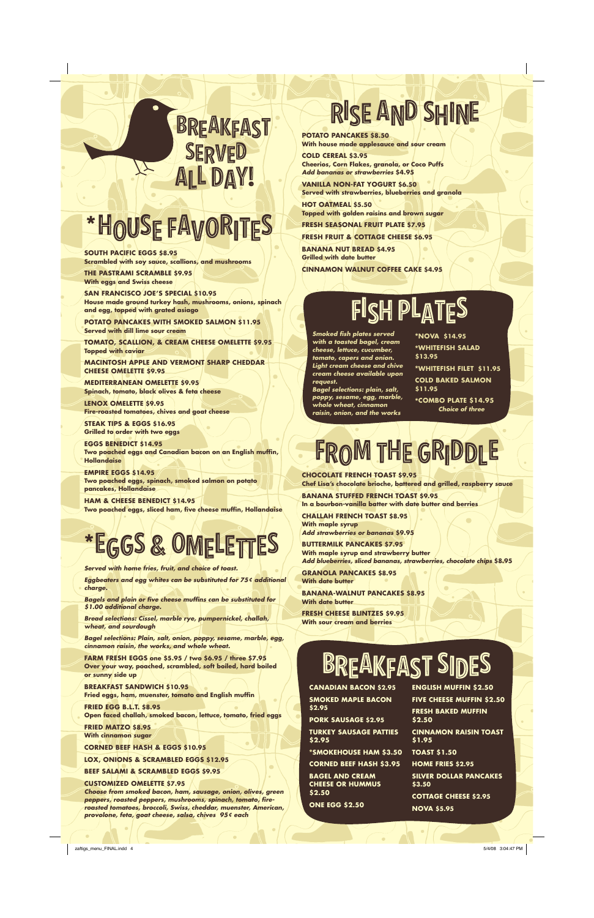## RISE AND SHINE

**Potato Pancakes \$8.50 With house made applesauce and sour cream**

**Cold Cereal \$3.95 Cheerios, Corn Flakes, granola, or Coco Puffs** *Add bananas or strawberries* **\$4.95**

**Vanilla Non-Fat Yogurt \$6.50 Served with strawberries, blueberries and granola**

**Hot Oatmeal \$5.50 Topped with golden raisins and brown sugar**

**Fresh Seasonal Fruit Plate \$7.95**

**Fresh Fruit & Cottage Cheese \$6.95 Banana Nut Bread \$4.95 Grilled with date butter Cinnamon Walnut Coffee Cake \$4.95**

**chocolate French Toast \$9.95 Chef Lisa's chocolate brioche, battered and grilled, raspberry sauce**

**Banana stuffed French Toast \$9.95 In a bourbon-vanilla batter with date butter and berries**

**Challah French Toast \$8.95 With maple syrup** *Add strawberries or bananas* **\$9.95**

**Buttermilk Pancakes \$7.95 With maple syrup and strawberry butter** *Add blueberries, sliced bananas, strawberries, chocolate chips* **\$8.95**

**Granola Pancakes \$8.95 With date butter**

**Banana-Walnut Pancakes \$8.95 With date butter**

**Fresh Cheese Blintzes \$9.95 With sour cream and berries**

### BREAKFAST SIDES

**Canadian Bacon \$2.95 Smoked Maple Bacon \$2.95 Pork Sausage \$2.95 Turkey Sausage Patties \$2.95** \***Smokehouse Ham \$3.50 Corned Beef Hash \$3.95 Bagel and Cream Cheese or Hummus \$2.50 One Egg \$2.50 \$2.50 \$1.95 \$3.50**

**English Muffin \$2.50 Five Cheese Muffin \$2.50 Fresh Baked Muffin Cinnamon Raisin Toast Toast \$1.50 Home Fries \$2.95 Silver Dollar Pancakes Cottage Cheese \$2.95**

**Nova \$5.95**

*Served with home fries, fruit, and choice of toast.* 

*Eggbeaters and egg whites can be substituted for 75¢ additional charge.* 

*Bagels and plain or five cheese muffins can be substituted for \$1.00 additional charge.* 

*Bread selections: Cissel, marble rye, pumpernickel, challah, wheat, and sourdough*

*Bagel selections: Plain, salt, onion, poppy, sesame, marble, egg, cinnamon raisin, the works, and whole wheat.*

**Farm Fresh Eggs one \$5.95 / two \$6.95 / three \$7.95 Over your way, poached, scrambled, soft boiled, hard boiled or sunny side up Breakfast Sandwich \$10.95 Fried eggs, ham, muenster, tomato and English muffin Fried Egg B.L.T. \$8.95 Open faced challah, smoked bacon, lettuce, tomato, fried eggs Fried Matzo \$8.95 With cinnamon sugar Corned Beef Hash & Eggs \$10.95 Lox, Onions & Scrambled Eggs \$12.95 Beef Salami & Scrambled Eggs \$9.95 Customized Omelette \$7.95** *Choose from smoked bacon, ham, sausage, onion, olives, green peppers, roasted peppers, mushrooms, spinach, tomato, fireroasted tomatoes, broccoli, Swiss, cheddar, muenster, American, provolone, feta, goat cheese, salsa, chives 95¢ each*

**South Pacific Eggs \$8.95 Scrambled with soy sauce, scallions, and mushrooms**

**The Pastrami Scramble \$9.95 With eggs and Swiss cheese**

**San Francisco Joe's Special \$10.95 House made ground turkey hash, mushrooms, onions, spinach and egg, topped with grated asiago**

**Potato Pancakes with Smoked Salmon \$11.95 Served with dill lime sour cream**

**Tomato, Scallion, & Cream Cheese Omelette \$9.95 Topped with caviar**

**MacIntosh Apple and Vermont Sharp Cheddar cheese Omelette \$9.95**

**Mediterranean Omelette \$9.95 Spinach, tomato, black olives & feta cheese**

**Lenox Omelette \$9.95 Fire-roasted tomatoes, chives and goat cheese**

**Steak tips & eggs \$16.95 Grilled to order with two eggs**

**Eggs Benedict \$14.95 Two poached eggs and Canadian bacon on an English muffin, Hollandaise**

**Empire Eggs \$14.95 Two poached eggs, spinach, smoked salmon on potato pancakes, Hollandaise**

**Ham & Cheese Benedict \$14.95 Two poached eggs, sliced ham, five cheese muffin, Hollandaise**

# \*EGGS & OMELETTES

## \*HOUSE FAVORITES

### SERVED L DAY! BREAKFAST

*Smoked fish plates served with a toasted bagel, cream cheese, lettuce, cucumber, tomato, capers and onion. Light cream cheese and chive cream cheese available upon request.* 

*Bagel selections: plain, salt, poppy, sesame, egg, marble, whole wheat, cinnamon* 

*raisin, onion, and the works*

\***Nova \$14.95** \***Whitefish Salad \$13.95** \***Whitefish Filet \$11.95 Cold Baked Salmon \$11.95**

\***Combo Plate \$14.95** *Choice of three*

### FROM THE GRIDDLE

## FISH PLATES

zaftigs\_menu\_FINAL.indd 4 5/4/08 3:04:47 PM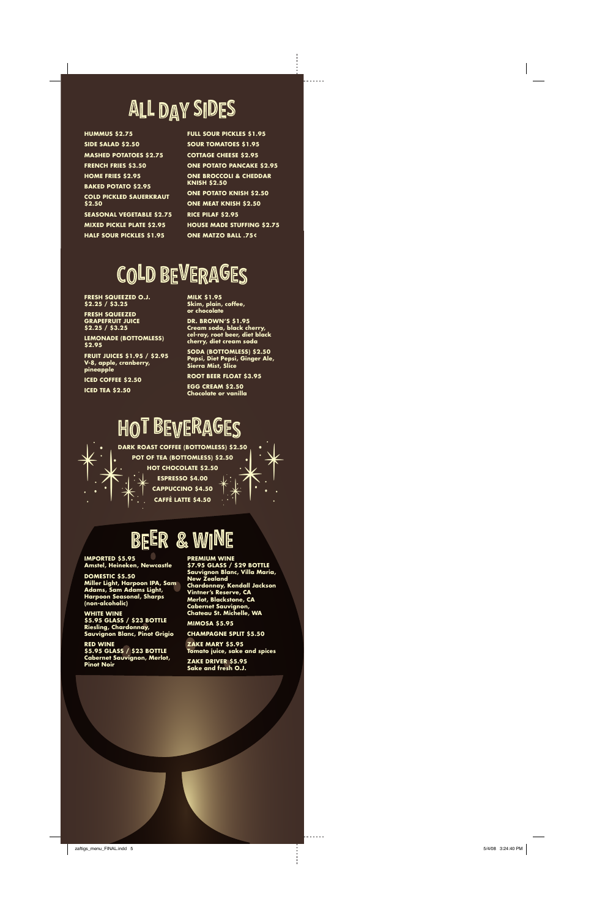**Dark Roast Coffee (bottomless) \$2.50 Pot of Tea (bottomless) \$2.50 Hot C h o colate \$2.50 E s presso \$4.00 c app uccino \$4.50** PARK ROA **caffé latte \$4.50**



### BEER & WINE

**I m porte d \$5.95 Amstel, Heineken, Newcastle**

**Domesti c \$5.50 Miller Light, Harpoon I PA, Sam Adams, Sam Adams Light, Harpoon Seasonal, Sharps (non-alcoholic)**

**White Wine \$5.95 glass / \$23 bottle Riesling, Chardonnay, Sauvignon Blanc, Pinot Grigio**

**Red Wine \$5.95 glass / \$23 bottle Cabernet Sauvignon, Merlot, Pinot Noir**

**Premium Wine \$7.95 glass / \$29 bottle Sauvignon Blanc, Villa Maria, New Zealand**

**Chardonnay, Kendall Jackson Vintner's Reserve, C A Merlot, Blackstone, C A Cabernet Sauvignon, Chateau St. Michelle, WA**

**Mimosa \$5.95 Champagne Split \$5.50**

**Zake Mary \$5.95**

**Tomato juice, sake and spices Zake dri ver \$5.95 Sake and fresh O.J.**

**FRESH S QUEE Z ED O.J. \$2.25 / \$3.25 FRESH S QUEE Z ED GRA PEFRUIT JUI CE** 

**\$2.25 / \$3.25 Lemonade (bottomless) \$2.95**

**Fruit Jui ces \$1.95 / \$2.95 V-8, apple, cranberry, pineapple** 

**Ic e d Coffee \$2.50 Ic e d Tea \$2.50**

**Milk \$1.95 Skim, plain, coffee, or chocolate** 

**Dr. Bro wn's \$1.95 Cream soda, black cherry, cel-ray, root beer, diet black cherry, diet cream soda**

**Soda (bottomless) \$2.50 Pepsi, Diet Pepsi, Ginger Ale, Sierra Mist, Slice** 

**Root Beer Float \$3.95 Egg Cream \$2.50 Chocolate or vanilla**

### HOT BEVERAGES

### ALL DAY SIDES

**Hummus \$2.75 Side Salad \$2.50 Mashed Potatoes \$2.75 French Fries \$3.50 Home Fries \$2.95 Bake d Potato \$2.95**  $\blacksquare$  COLD PICKLED SAUERKRAUT **\$2.50 Seasonal Vegetable \$2.75 Mixed Pickle Plate \$2.95 Half Sour Pi ckles \$1.95**

**Full Sour Pi ckles \$1.95 Sour Tomatoes \$1.95 Cottage C heese \$2.95 One Potato Pan cake \$2.95 One Broccoli & C h eddar Knis h \$2.50 One Potato Knis h \$2.50 One Meat Knis h \$2.50 R i ce Pilaf \$2.95 House ma de Stuffing \$2.75 One Mat zo Ball .75¢**

### COLD BEVERAGES